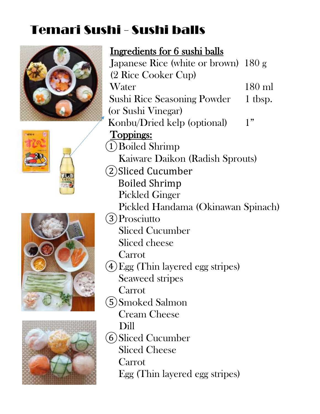# Temari Sushi - Sushi balls









 Ingredients for 6 sushi balls Japanese Rice (white or brown) 180 g (2 Rice Cooker Cup) Water 180 ml Sushi Rice Seasoning Powder 1 tbsp. (or Sushi Vinegar) Konbu/Dried kelp (optional) 1" Toppings: ①Boiled Shrimp Kaiware Daikon (Radish Sprouts) ②Sliced Cucumber Boiled Shrimp Pickled Ginger Pickled Handama (Okinawan Spinach) ③Prosciutto Sliced Cucumber Sliced cheese Carrot ④Egg (Thin layered egg stripes) Seaweed stripes Carrot ⑤Smoked Salmon Cream Cheese Dill ⑥Sliced Cucumber Sliced Cheese Carrot Egg (Thin layered egg stripes)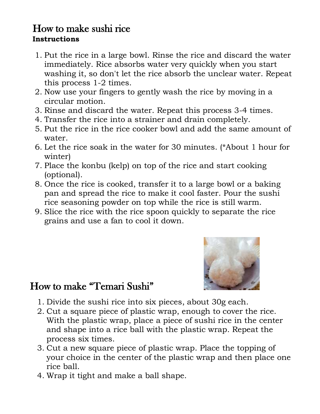#### How to make sushi rice **Instructions**

- 1. Put the rice in a large bowl. Rinse the rice and discard the water immediately. Rice absorbs water very quickly when you start washing it, so don't let the rice absorb the unclear water. Repeat this process 1-2 times.
- 2. Now use your fingers to gently wash the rice by moving in a circular motion.
- 3. Rinse and discard the water. Repeat this process 3-4 times.
- 4. Transfer the rice into a strainer and drain completely.
- 5. Put the rice in the rice cooker bowl and add the same amount of water.
- 6. Let the rice soak in the water for 30 minutes. (\*About 1 hour for winter)
- 7. Place the konbu (kelp) on top of the rice and start cooking (optional).
- 8. Once the rice is cooked, transfer it to a large bowl or a baking pan and spread the rice to make it cool faster. Pour the sushi rice seasoning powder on top while the rice is still warm.
- 9. Slice the rice with the rice spoon quickly to separate the rice grains and use a fan to cool it down.



## How to make "Temari Sushi"

- 1. Divide the sushi rice into six pieces, about 30g each.
- 2. Cut a square piece of plastic wrap, enough to cover the rice. With the plastic wrap, place a piece of sushi rice in the center and shape into a rice ball with the plastic wrap. Repeat the process six times.
- 3. Cut a new square piece of plastic wrap. Place the topping of your choice in the center of the plastic wrap and then place one rice ball.
- 4. Wrap it tight and make a ball shape.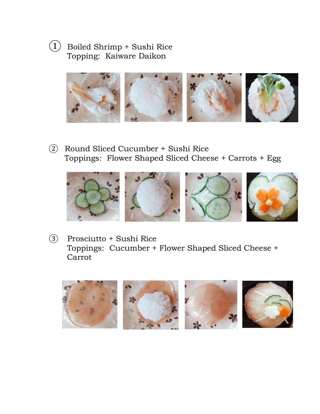### ① Boiled Shrimp + Sushi Rice Topping: Kaiware Daikon



② Round Sliced Cucumber + Sushi Rice Toppings: Flower Shaped Sliced Cheese + Carrots + Egg



③ Prosciutto + Sushi Rice Toppings: Cucumber + Flower Shaped Sliced Cheese + Carrot

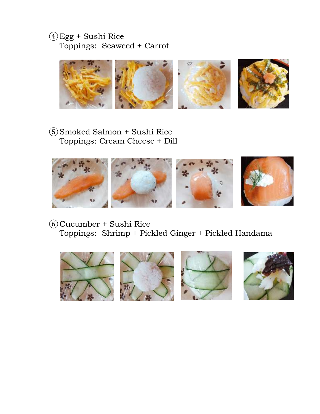#### ④Egg + Sushi Rice Toppings: Seaweed + Carrot



⑤Smoked Salmon + Sushi Rice Toppings: Cream Cheese + Dill



⑥Cucumber + Sushi Rice Toppings: Shrimp + Pickled Ginger + Pickled Handama

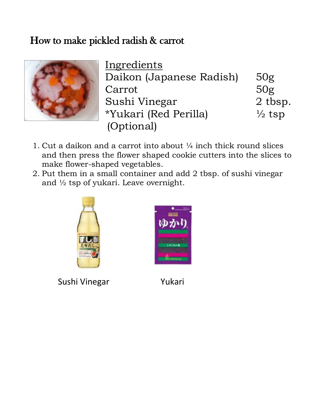## How to make pickled radish & carrot



**Ingredients** Daikon (Japanese Radish) 50g Carrot 50g Sushi Vinegar 2 tbsp. \*Yukari (Red Perilla) ½ tsp (Optional)

- 1. Cut a daikon and a carrot into about ¼ inch thick round slices and then press the flower shaped cookie cutters into the slices to make flower-shaped vegetables.
- 2. Put them in a small container and add 2 tbsp. of sushi vinegar and ½ tsp of yukari. Leave overnight.



Sushi Vinegar Yukari